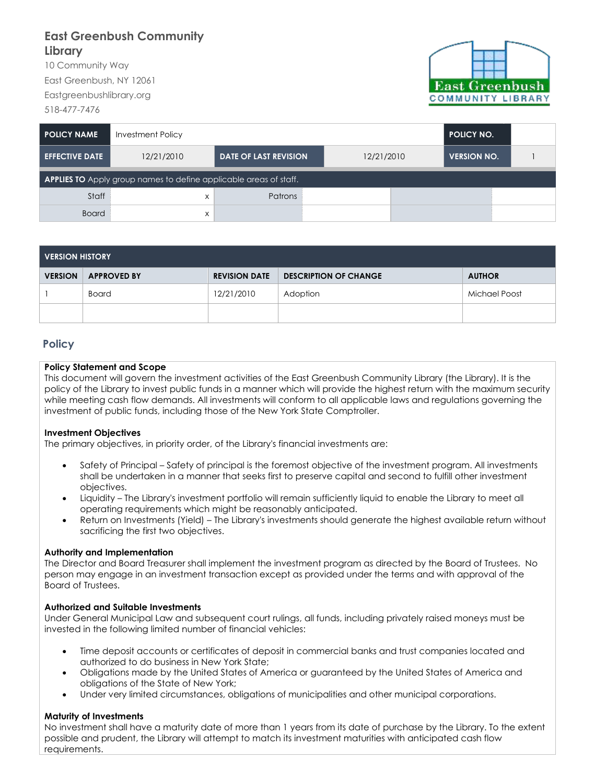# **East Greenbush Community Library**

10 Community Way East Greenbush, NY 12061 Eastgreenbushlibrary.org 518-477-7476



| I POLICY NAME                                                            | <b>Investment Policy</b> | <b>POLICY NO.</b>            |            |                    |  |  |  |  |
|--------------------------------------------------------------------------|--------------------------|------------------------------|------------|--------------------|--|--|--|--|
| <b>EFFECTIVE DATE</b>                                                    | 12/21/2010               | <b>DATE OF LAST REVISION</b> | 12/21/2010 | <b>VERSION NO.</b> |  |  |  |  |
| <b>APPLIES TO</b> Apply group names to define applicable areas of staff. |                          |                              |            |                    |  |  |  |  |
| Staff                                                                    | X                        | Patrons                      |            |                    |  |  |  |  |
| <b>Board</b>                                                             | X                        |                              |            |                    |  |  |  |  |

| <b>VERSION HISTORY</b> |                    |                      |                              |               |  |  |  |
|------------------------|--------------------|----------------------|------------------------------|---------------|--|--|--|
| <b>VERSION</b>         | <b>APPROVED BY</b> | <b>REVISION DATE</b> | <b>DESCRIPTION OF CHANGE</b> | <b>AUTHOR</b> |  |  |  |
|                        | <b>Board</b>       | 12/21/2010           | Adoption                     | Michael Poost |  |  |  |
|                        |                    |                      |                              |               |  |  |  |

## **Policy**

#### **Policy Statement and Scope**

This document will govern the investment activities of the East Greenbush Community Library (the Library). It is the policy of the Library to invest public funds in a manner which will provide the highest return with the maximum security while meeting cash flow demands. All investments will conform to all applicable laws and regulations governing the investment of public funds, including those of the New York State Comptroller.

#### **Investment Objectives**

The primary objectives, in priority order, of the Library's financial investments are:

- Safety of Principal Safety of principal is the foremost objective of the investment program. All investments shall be undertaken in a manner that seeks first to preserve capital and second to fulfill other investment objectives.
- Liquidity The Library's investment portfolio will remain sufficiently liquid to enable the Library to meet all operating requirements which might be reasonably anticipated.
- Return on Investments (Yield) The Library's investments should generate the highest available return without sacrificing the first two objectives.

#### **Authority and Implementation**

The Director and Board Treasurer shall implement the investment program as directed by the Board of Trustees. No person may engage in an investment transaction except as provided under the terms and with approval of the Board of Trustees.

#### **Authorized and Suitable Investments**

Under General Municipal Law and subsequent court rulings, all funds, including privately raised moneys must be invested in the following limited number of financial vehicles:

- Time deposit accounts or certificates of deposit in commercial banks and trust companies located and authorized to do business in New York State;
- Obligations made by the United States of America or guaranteed by the United States of America and obligations of the State of New York;
- Under very limited circumstances, obligations of municipalities and other municipal corporations.

#### **Maturity of Investments**

No investment shall have a maturity date of more than 1 years from its date of purchase by the Library. To the extent possible and prudent, the Library will attempt to match its investment maturities with anticipated cash flow requirements.